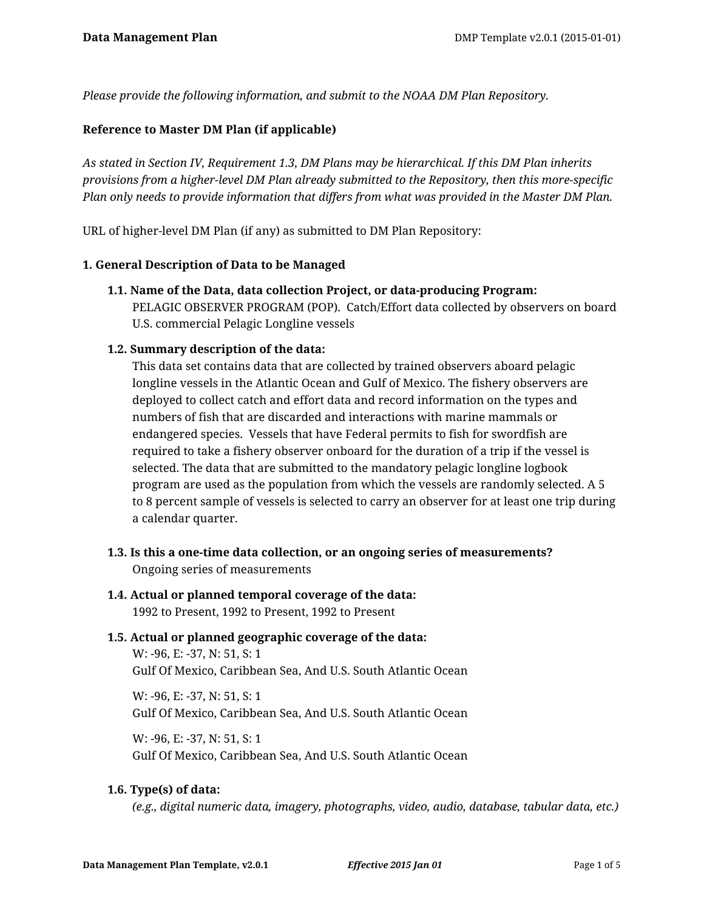*Please provide the following information, and submit to the NOAA DM Plan Repository.*

### **Reference to Master DM Plan (if applicable)**

*As stated in Section IV, Requirement 1.3, DM Plans may be hierarchical. If this DM Plan inherits provisions from a higher-level DM Plan already submitted to the Repository, then this more-specific Plan only needs to provide information that differs from what was provided in the Master DM Plan.*

URL of higher-level DM Plan (if any) as submitted to DM Plan Repository:

#### **1. General Description of Data to be Managed**

**1.1. Name of the Data, data collection Project, or data-producing Program:** PELAGIC OBSERVER PROGRAM (POP). Catch/Effort data collected by observers on board U.S. commercial Pelagic Longline vessels

### **1.2. Summary description of the data:**

This data set contains data that are collected by trained observers aboard pelagic longline vessels in the Atlantic Ocean and Gulf of Mexico. The fishery observers are deployed to collect catch and effort data and record information on the types and numbers of fish that are discarded and interactions with marine mammals or endangered species. Vessels that have Federal permits to fish for swordfish are required to take a fishery observer onboard for the duration of a trip if the vessel is selected. The data that are submitted to the mandatory pelagic longline logbook program are used as the population from which the vessels are randomly selected. A 5 to 8 percent sample of vessels is selected to carry an observer for at least one trip during a calendar quarter.

**1.3. Is this a one-time data collection, or an ongoing series of measurements?** Ongoing series of measurements

# **1.4. Actual or planned temporal coverage of the data:**

1992 to Present, 1992 to Present, 1992 to Present

#### **1.5. Actual or planned geographic coverage of the data:**

W: -96, E: -37, N: 51, S: 1 Gulf Of Mexico, Caribbean Sea, And U.S. South Atlantic Ocean

W: -96, E: -37, N: 51, S: 1 Gulf Of Mexico, Caribbean Sea, And U.S. South Atlantic Ocean

W: -96, E: -37, N: 51, S: 1 Gulf Of Mexico, Caribbean Sea, And U.S. South Atlantic Ocean

### **1.6. Type(s) of data:**

*(e.g., digital numeric data, imagery, photographs, video, audio, database, tabular data, etc.)*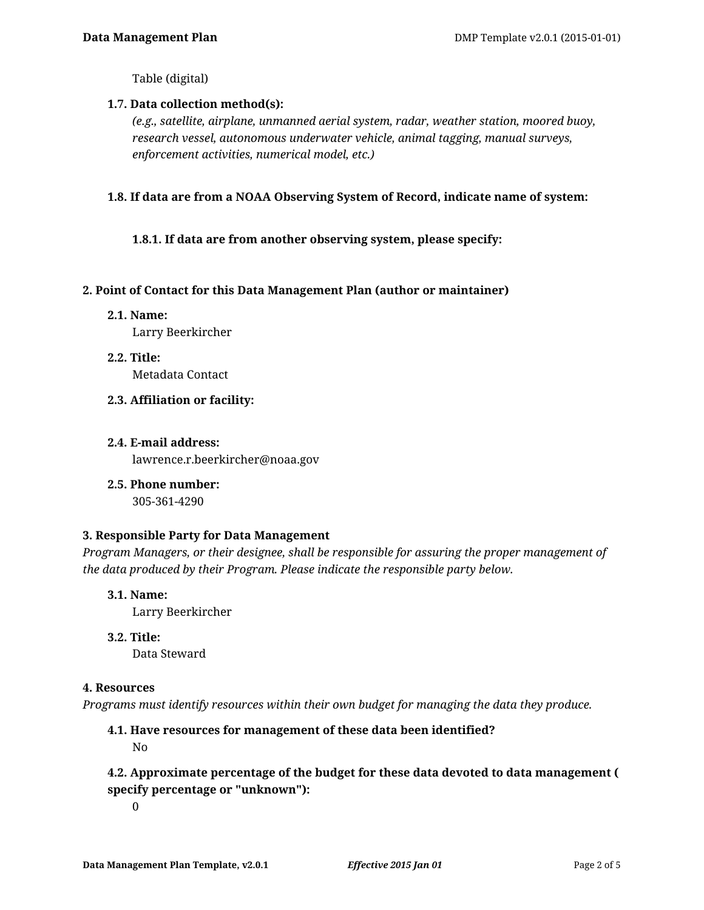Table (digital)

### **1.7. Data collection method(s):**

*(e.g., satellite, airplane, unmanned aerial system, radar, weather station, moored buoy, research vessel, autonomous underwater vehicle, animal tagging, manual surveys, enforcement activities, numerical model, etc.)*

### **1.8. If data are from a NOAA Observing System of Record, indicate name of system:**

### **1.8.1. If data are from another observing system, please specify:**

### **2. Point of Contact for this Data Management Plan (author or maintainer)**

**2.1. Name:**

Larry Beerkircher

- **2.2. Title:** Metadata Contact
- **2.3. Affiliation or facility:**
- **2.4. E-mail address:** lawrence.r.beerkircher@noaa.gov
- **2.5. Phone number:**

305-361-4290

### **3. Responsible Party for Data Management**

*Program Managers, or their designee, shall be responsible for assuring the proper management of the data produced by their Program. Please indicate the responsible party below.*

- **3.1. Name:** Larry Beerkircher
- **3.2. Title:**

Data Steward

### **4. Resources**

*Programs must identify resources within their own budget for managing the data they produce.*

# **4.1. Have resources for management of these data been identified?** No

**4.2. Approximate percentage of the budget for these data devoted to data management ( specify percentage or "unknown"):**

0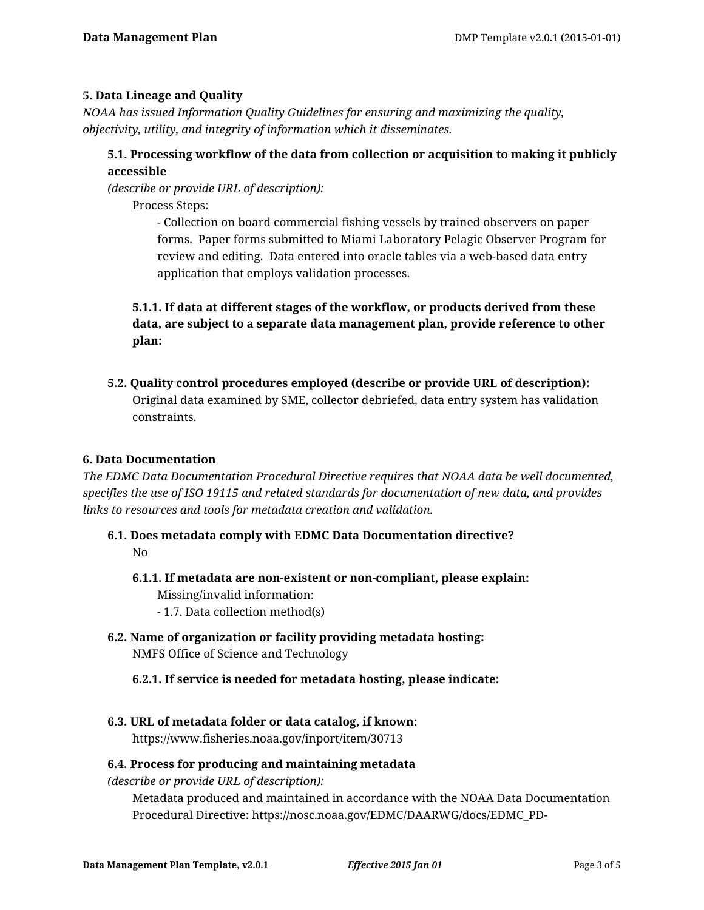### **5. Data Lineage and Quality**

*NOAA has issued Information Quality Guidelines for ensuring and maximizing the quality, objectivity, utility, and integrity of information which it disseminates.*

# **5.1. Processing workflow of the data from collection or acquisition to making it publicly accessible**

*(describe or provide URL of description):*

Process Steps:

- Collection on board commercial fishing vessels by trained observers on paper forms. Paper forms submitted to Miami Laboratory Pelagic Observer Program for review and editing. Data entered into oracle tables via a web-based data entry application that employs validation processes.

# **5.1.1. If data at different stages of the workflow, or products derived from these data, are subject to a separate data management plan, provide reference to other plan:**

**5.2. Quality control procedures employed (describe or provide URL of description):** Original data examined by SME, collector debriefed, data entry system has validation constraints.

### **6. Data Documentation**

*The EDMC Data Documentation Procedural Directive requires that NOAA data be well documented, specifies the use of ISO 19115 and related standards for documentation of new data, and provides links to resources and tools for metadata creation and validation.*

- **6.1. Does metadata comply with EDMC Data Documentation directive?** No
	- **6.1.1. If metadata are non-existent or non-compliant, please explain:** Missing/invalid information: - 1.7. Data collection method(s)
	-
- **6.2. Name of organization or facility providing metadata hosting:** NMFS Office of Science and Technology
	- **6.2.1. If service is needed for metadata hosting, please indicate:**
- **6.3. URL of metadata folder or data catalog, if known:**

https://www.fisheries.noaa.gov/inport/item/30713

### **6.4. Process for producing and maintaining metadata**

*(describe or provide URL of description):*

Metadata produced and maintained in accordance with the NOAA Data Documentation Procedural Directive: https://nosc.noaa.gov/EDMC/DAARWG/docs/EDMC\_PD-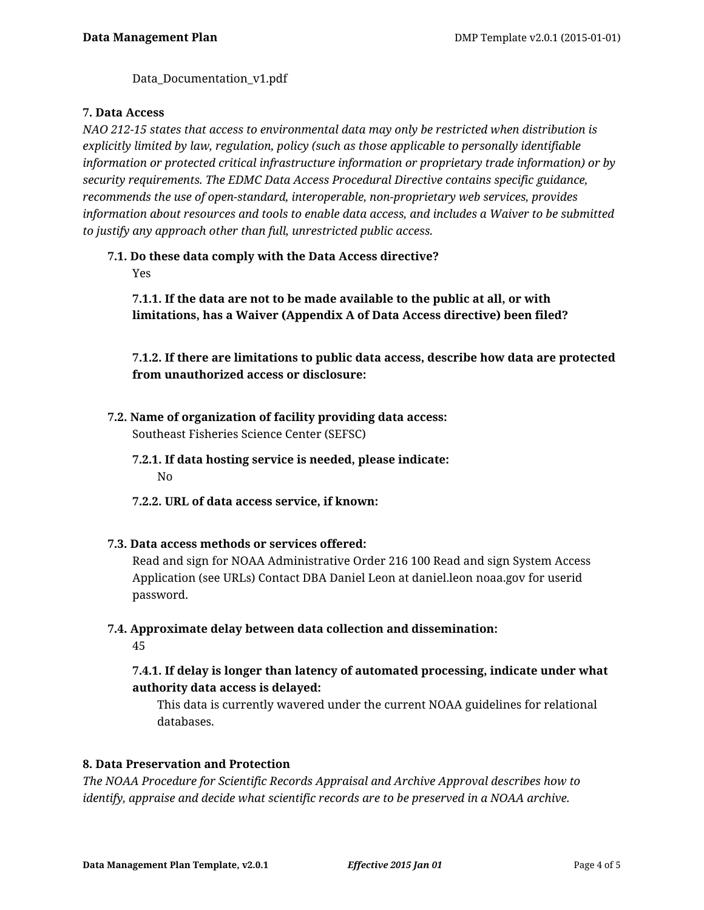Data Documentation v1.pdf

#### **7. Data Access**

*NAO 212-15 states that access to environmental data may only be restricted when distribution is explicitly limited by law, regulation, policy (such as those applicable to personally identifiable information or protected critical infrastructure information or proprietary trade information) or by security requirements. The EDMC Data Access Procedural Directive contains specific guidance, recommends the use of open-standard, interoperable, non-proprietary web services, provides information about resources and tools to enable data access, and includes a Waiver to be submitted to justify any approach other than full, unrestricted public access.*

# **7.1. Do these data comply with the Data Access directive?**

Yes

**7.1.1. If the data are not to be made available to the public at all, or with limitations, has a Waiver (Appendix A of Data Access directive) been filed?**

**7.1.2. If there are limitations to public data access, describe how data are protected from unauthorized access or disclosure:**

- **7.2. Name of organization of facility providing data access:** Southeast Fisheries Science Center (SEFSC)
	- **7.2.1. If data hosting service is needed, please indicate:** No
	- **7.2.2. URL of data access service, if known:**
- **7.3. Data access methods or services offered:**

Read and sign for NOAA Administrative Order 216 100 Read and sign System Access Application (see URLs) Contact DBA Daniel Leon at daniel.leon noaa.gov for userid password.

**7.4. Approximate delay between data collection and dissemination:**

45

# **7.4.1. If delay is longer than latency of automated processing, indicate under what authority data access is delayed:**

This data is currently wavered under the current NOAA guidelines for relational databases.

### **8. Data Preservation and Protection**

*The NOAA Procedure for Scientific Records Appraisal and Archive Approval describes how to identify, appraise and decide what scientific records are to be preserved in a NOAA archive.*